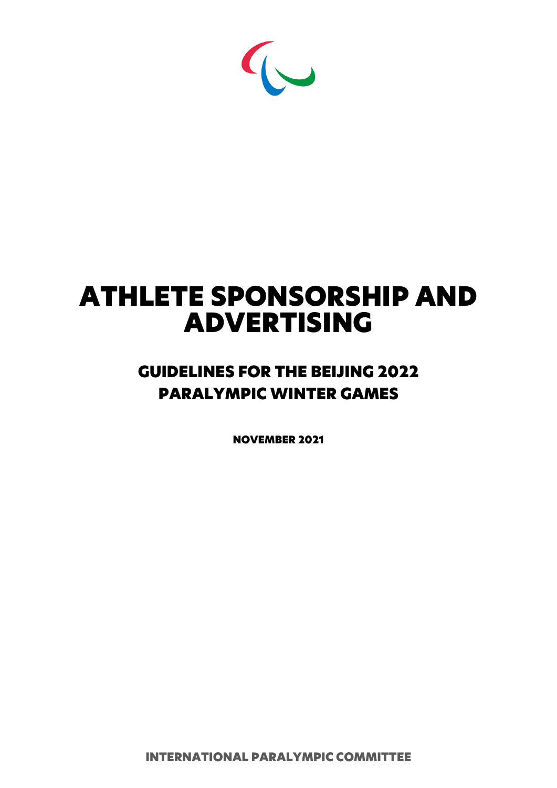

# ATHLETE SPONSORSHIP AND ADVERTISING

# GUIDELINES FOR THE BEIJING 2022 PARALYMPIC WINTER GAMES

NOVEMBER 2021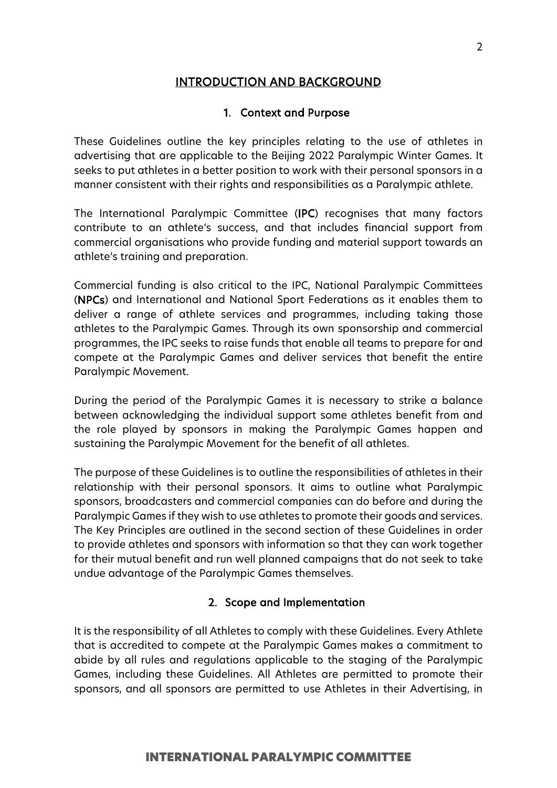# INTRODUCTION AND BACKGROUND

# 1. Context and Purpose

These Guidelines outline the key principles relating to the use of athletes in advertising that are applicable to the Beijing 2022 Paralympic Winter Games. It seeks to put athletes in a better position to work with their personal sponsors in a manner consistent with their rights and responsibilities as a Paralympic athlete.

The International Paralympic Committee (IPC) recognises that many factors contribute to an athlete's success, and that includes financial support from commercial organisations who provide funding and material support towards an athlete's training and preparation.

Commercial funding is also critical to the IPC, National Paralympic Committees (NPCs) and International and National Sport Federations as it enables them to deliver a range of athlete services and programmes, including taking those athletes to the Paralympic Games. Through its own sponsorship and commercial programmes, the IPC seeks to raise funds that enable all teams to prepare for and compete at the Paralympic Games and deliver services that benefit the entire Paralympic Movement.

During the period of the Paralympic Games it is necessary to strike a balance between acknowledging the individual support some athletes benefit from and the role played by sponsors in making the Paralympic Games happen and sustaining the Paralympic Movement for the benefit of all athletes.

The purpose of these Guidelines is to outline the responsibilities of athletes in their relationship with their personal sponsors. It aims to outline what Paralympic sponsors, broadcasters and commercial companies can do before and during the Paralympic Games if they wish to use athletes to promote their goods and services. The Key Principles are outlined in the second section of these Guidelines in order to provide athletes and sponsors with information so that they can work together for their mutual benefit and run well planned campaigns that do not seek to take undue advantage of the Paralympic Games themselves.

# 2. Scope and Implementation

It is the responsibility of all Athletes to comply with these Guidelines. Every Athlete that is accredited to compete at the Paralympic Games makes a commitment to abide by all rules and regulations applicable to the staging of the Paralympic Games, including these Guidelines. All Athletes are permitted to promote their sponsors, and all sponsors are permitted to use Athletes in their Advertising, in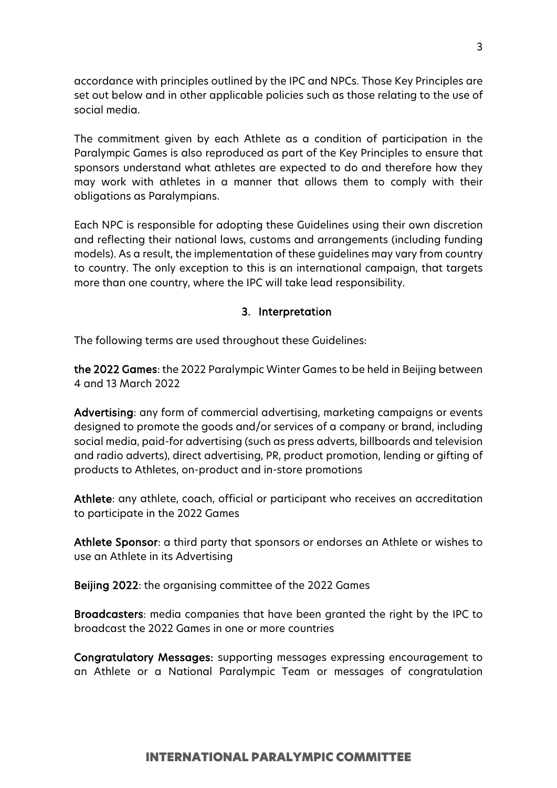accordance with principles outlined by the IPC and NPCs. Those Key Principles are set out below and in other applicable policies such as those relating to the use of social media.

The commitment given by each Athlete as a condition of participation in the Paralympic Games is also reproduced as part of the Key Principles to ensure that sponsors understand what athletes are expected to do and therefore how they may work with athletes in a manner that allows them to comply with their obligations as Paralympians.

Each NPC is responsible for adopting these Guidelines using their own discretion and reflecting their national laws, customs and arrangements (including funding models). As a result, the implementation of these guidelines may vary from country to country. The only exception to this is an international campaign, that targets more than one country, where the IPC will take lead responsibility.

# 3. Interpretation

The following terms are used throughout these Guidelines:

the 2022 Games: the 2022 Paralympic Winter Games to be held in Beijing between 4 and 13 March 2022

Advertising: any form of commercial advertising, marketing campaigns or events designed to promote the goods and/or services of a company or brand, including social media, paid-for advertising (such as press adverts, billboards and television and radio adverts), direct advertising, PR, product promotion, lending or gifting of products to Athletes, on-product and in-store promotions

Athlete: any athlete, coach, official or participant who receives an accreditation to participate in the 2022 Games

Athlete Sponsor: a third party that sponsors or endorses an Athlete or wishes to use an Athlete in its Advertising

Beijing 2022: the organising committee of the 2022 Games

Broadcasters: media companies that have been granted the right by the IPC to broadcast the 2022 Games in one or more countries

Congratulatory Messages: supporting messages expressing encouragement to an Athlete or a National Paralympic Team or messages of congratulation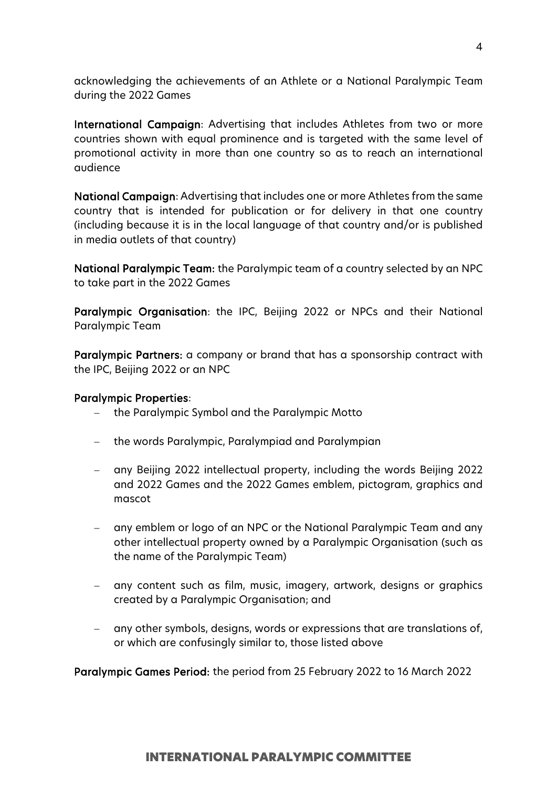acknowledging the achievements of an Athlete or a National Paralympic Team during the 2022 Games

International Campaign: Advertising that includes Athletes from two or more countries shown with equal prominence and is targeted with the same level of promotional activity in more than one country so as to reach an international audience

National Campaign: Advertising that includes one or more Athletes from the same country that is intended for publication or for delivery in that one country (including because it is in the local language of that country and/or is published in media outlets of that country)

National Paralympic Team: the Paralympic team of a country selected by an NPC to take part in the 2022 Games

Paralympic Organisation: the IPC, Beijing 2022 or NPCs and their National Paralympic Team

Paralympic Partners: a company or brand that has a sponsorship contract with the IPC, Beijing 2022 or an NPC

#### Paralympic Properties:

- − the Paralympic Symbol and the Paralympic Motto
- − the words Paralympic, Paralympiad and Paralympian
- − any Beijing 2022 intellectual property, including the words Beijing 2022 and 2022 Games and the 2022 Games emblem, pictogram, graphics and mascot
- − any emblem or logo of an NPC or the National Paralympic Team and any other intellectual property owned by a Paralympic Organisation (such as the name of the Paralympic Team)
- any content such as film, music, imagery, artwork, designs or graphics created by a Paralympic Organisation; and
- any other symbols, designs, words or expressions that are translations of, or which are confusingly similar to, those listed above

Paralympic Games Period: the period from 25 February 2022 to 16 March 2022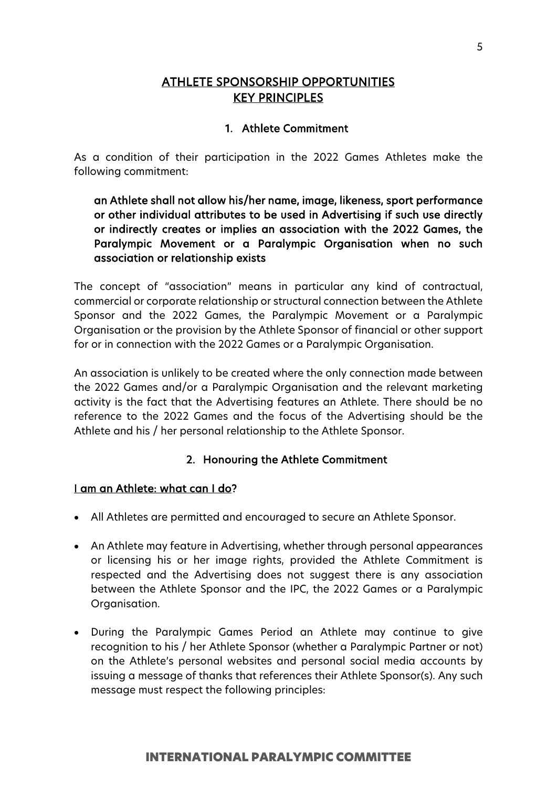# ATHLETE SPONSORSHIP OPPORTUNITIES KEY PRINCIPLES

# 1. Athlete Commitment

As a condition of their participation in the 2022 Games Athletes make the following commitment:

# an Athlete shall not allow his/her name, image, likeness, sport performance or other individual attributes to be used in Advertising if such use directly or indirectly creates or implies an association with the 2022 Games, the Paralympic Movement or a Paralympic Organisation when no such association or relationship exists

The concept of "association" means in particular any kind of contractual, commercial or corporate relationship or structural connection between the Athlete Sponsor and the 2022 Games, the Paralympic Movement or a Paralympic Organisation or the provision by the Athlete Sponsor of financial or other support for or in connection with the 2022 Games or a Paralympic Organisation.

An association is unlikely to be created where the only connection made between the 2022 Games and/or a Paralympic Organisation and the relevant marketing activity is the fact that the Advertising features an Athlete. There should be no reference to the 2022 Games and the focus of the Advertising should be the Athlete and his / her personal relationship to the Athlete Sponsor.

# 2. Honouring the Athlete Commitment

# I am an Athlete: what can I do?

- All Athletes are permitted and encouraged to secure an Athlete Sponsor.
- An Athlete may feature in Advertising, whether through personal appearances or licensing his or her image rights, provided the Athlete Commitment is respected and the Advertising does not suggest there is any association between the Athlete Sponsor and the IPC, the 2022 Games or a Paralympic Organisation.
- During the Paralympic Games Period an Athlete may continue to give recognition to his / her Athlete Sponsor (whether a Paralympic Partner or not) on the Athlete's personal websites and personal social media accounts by issuing a message of thanks that references their Athlete Sponsor(s). Any such message must respect the following principles: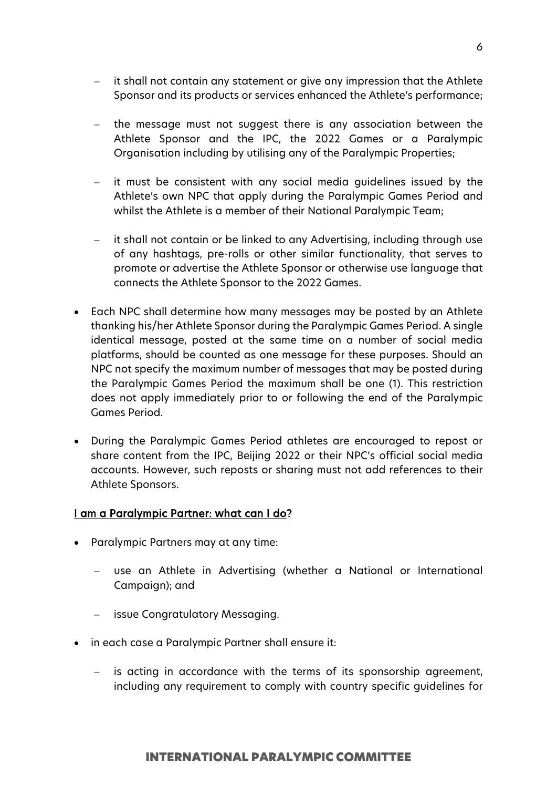- − it shall not contain any statement or give any impression that the Athlete Sponsor and its products or services enhanced the Athlete's performance;
- the message must not suggest there is any association between the Athlete Sponsor and the IPC, the 2022 Games or a Paralympic Organisation including by utilising any of the Paralympic Properties;
- − it must be consistent with any social media guidelines issued by the Athlete's own NPC that apply during the Paralympic Games Period and whilst the Athlete is a member of their National Paralympic Team;
- it shall not contain or be linked to any Advertising, including through use of any hashtags, pre-rolls or other similar functionality, that serves to promote or advertise the Athlete Sponsor or otherwise use language that connects the Athlete Sponsor to the 2022 Games.
- Each NPC shall determine how many messages may be posted by an Athlete thanking his/her Athlete Sponsor during the Paralympic Games Period. A single identical message, posted at the same time on a number of social media platforms, should be counted as one message for these purposes. Should an NPC not specify the maximum number of messages that may be posted during the Paralympic Games Period the maximum shall be one (1). This restriction does not apply immediately prior to or following the end of the Paralympic Games Period.
- During the Paralympic Games Period athletes are encouraged to repost or share content from the IPC, Beijing 2022 or their NPC's official social media accounts. However, such reposts or sharing must not add references to their Athlete Sponsors.

# I am a Paralympic Partner: what can I do?

- Paralympic Partners may at any time:
	- − use an Athlete in Advertising (whether a National or International Campaign); and
	- − issue Congratulatory Messaging.
- in each case a Paralympic Partner shall ensure it:
	- is acting in accordance with the terms of its sponsorship agreement, including any requirement to comply with country specific guidelines for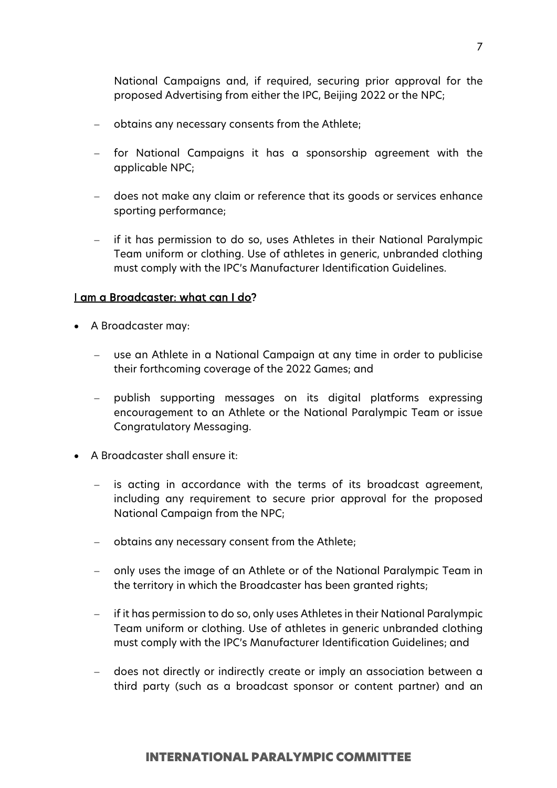National Campaigns and, if required, securing prior approval for the proposed Advertising from either the IPC, Beijing 2022 or the NPC;

- − obtains any necessary consents from the Athlete;
- − for National Campaigns it has a sponsorship agreement with the applicable NPC;
- − does not make any claim or reference that its goods or services enhance sporting performance;
- − if it has permission to do so, uses Athletes in their National Paralympic Team uniform or clothing. Use of athletes in generic, unbranded clothing must comply with the IPC's Manufacturer Identification Guidelines.

#### I am a Broadcaster: what can I do?

- A Broadcaster may:
	- use an Athlete in a National Campaign at any time in order to publicise their forthcoming coverage of the 2022 Games; and
	- − publish supporting messages on its digital platforms expressing encouragement to an Athlete or the National Paralympic Team or issue Congratulatory Messaging.
- A Broadcaster shall ensure it:
	- − is acting in accordance with the terms of its broadcast agreement, including any requirement to secure prior approval for the proposed National Campaign from the NPC;
	- − obtains any necessary consent from the Athlete;
	- − only uses the image of an Athlete or of the National Paralympic Team in the territory in which the Broadcaster has been granted rights;
	- if it has permission to do so, only uses Athletes in their National Paralympic Team uniform or clothing. Use of athletes in generic unbranded clothing must comply with the IPC's Manufacturer Identification Guidelines; and
	- − does not directly or indirectly create or imply an association between a third party (such as a broadcast sponsor or content partner) and an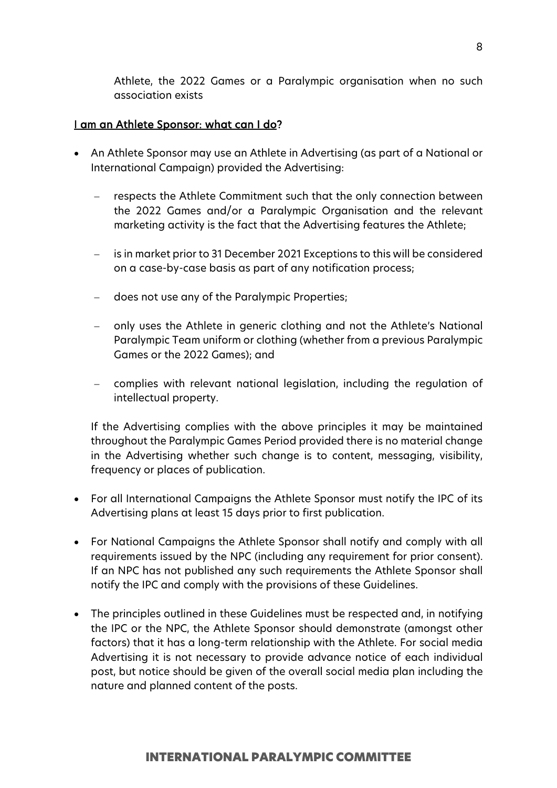Athlete, the 2022 Games or a Paralympic organisation when no such association exists

#### I am an Athlete Sponsor: what can I do?

- An Athlete Sponsor may use an Athlete in Advertising (as part of a National or International Campaign) provided the Advertising:
	- respects the Athlete Commitment such that the only connection between the 2022 Games and/or a Paralympic Organisation and the relevant marketing activity is the fact that the Advertising features the Athlete;
	- is in market prior to 31 December 2021 Exceptions to this will be considered on a case-by-case basis as part of any notification process;
	- − does not use any of the Paralympic Properties;
	- − only uses the Athlete in generic clothing and not the Athlete's National Paralympic Team uniform or clothing (whether from a previous Paralympic Games or the 2022 Games); and
	- − complies with relevant national legislation, including the regulation of intellectual property.

If the Advertising complies with the above principles it may be maintained throughout the Paralympic Games Period provided there is no material change in the Advertising whether such change is to content, messaging, visibility, frequency or places of publication.

- For all International Campaigns the Athlete Sponsor must notify the IPC of its Advertising plans at least 15 days prior to first publication.
- For National Campaigns the Athlete Sponsor shall notify and comply with all requirements issued by the NPC (including any requirement for prior consent). If an NPC has not published any such requirements the Athlete Sponsor shall notify the IPC and comply with the provisions of these Guidelines.
- The principles outlined in these Guidelines must be respected and, in notifying the IPC or the NPC, the Athlete Sponsor should demonstrate (amongst other factors) that it has a long-term relationship with the Athlete. For social media Advertising it is not necessary to provide advance notice of each individual post, but notice should be given of the overall social media plan including the nature and planned content of the posts.